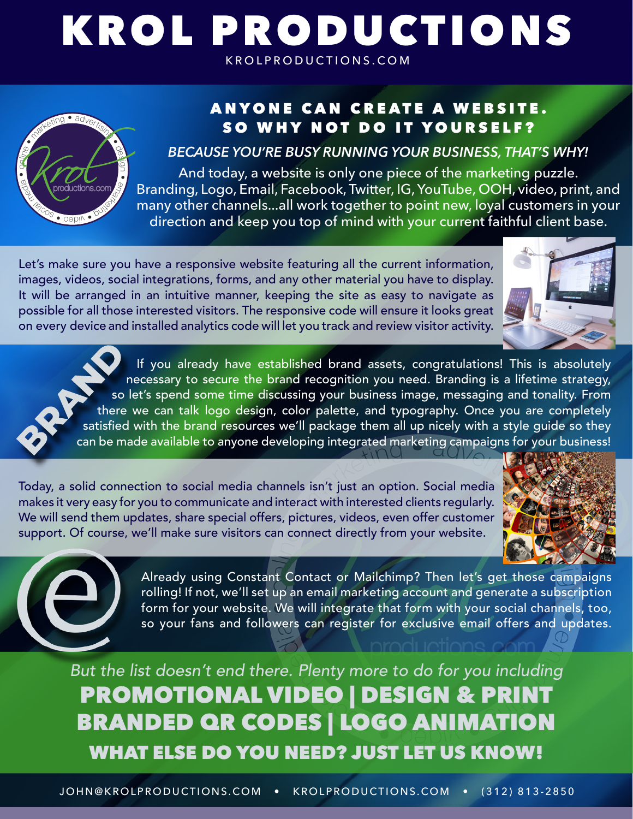# KROL PRODUCTIONS KROLPRODUCTIONS.COM



# ANYONE CAN CREATE A WEBSITE. SO WHY NOT DO IT YOURSELF?

*BECAUSE YOU'RE BUSY RUNNING YOUR BUSINESS, THAT'S WHY!*

And today, a website is only one piece of the marketing puzzle. Branding, Logo, Email, Facebook, Twitter, IG, YouTube, OOH, video, print, and many other channels...all work together to point new, loyal customers in your direction and keep you top of mind with your current faithful client base.

Let's make sure you have a responsive website featuring all the current information, images, videos, social integrations, forms, and any other material you have to display. It will be arranged in an intuitive manner, keeping the site as easy to navigate as possible for all those interested visitors. The responsive code will ensure it looks great on every device and installed analytics code will let you track and review visitor activity.



If you already have established brand assets, congratulations! This is absolutely necessary to secure the brand recognition you need. Branding is a lifetime strategy, so let's spend some time discussing your business image, messaging and tonality. From there we can talk logo design, color palette, and typography. Once you are completely satisfied with the brand resources we'll package them all up nicely with a style guide so they can be made available to anyone developing integrated marketing campaigns for your business!

Today, a solid connection to social media channels isn't just an option. Social media makes it very easy for you to communicate and interact with interested clients regularly. We will send them updates, share special offers, pictures, videos, even offer customer support. Of course, we'll make sure visitors can connect directly from your website.





Already using Constant Contact or Mailchimp? Then let's get those campaigns rolling! If not, we'll set up an email marketing account and generate a subscription form for your website. We will integrate that form with your social channels, too, so your fans and followers can register for exclusive email offers and updates.

PROMOTIONAL VIDEO | DESIGN & PRINT BRANDED QR CODES | LOGO ANIMATION WHAT ELSE DO YOU NEED? JUST LET US KNOW! *But the list doesn't end there. Plenty more to do for you including*